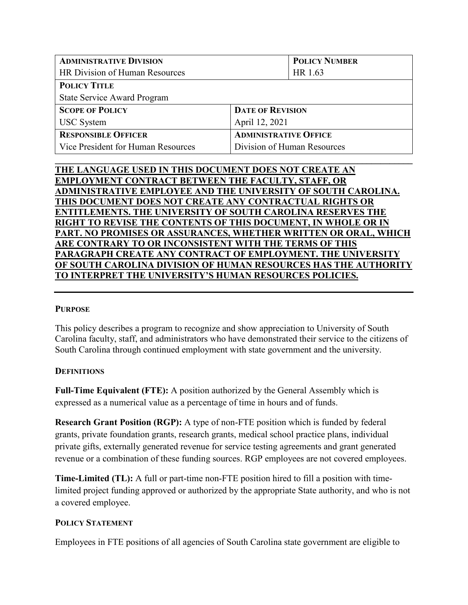| <b>ADMINISTRATIVE DIVISION</b>     |                              | <b>POLICY NUMBER</b>        |  |
|------------------------------------|------------------------------|-----------------------------|--|
| HR Division of Human Resources     |                              | HR 1.63                     |  |
| <b>POLICY TITLE</b>                |                              |                             |  |
| <b>State Service Award Program</b> |                              |                             |  |
| <b>SCOPE OF POLICY</b>             | <b>DATE OF REVISION</b>      |                             |  |
| <b>USC</b> System                  | April 12, 2021               |                             |  |
| <b>RESPONSIBLE OFFICER</b>         | <b>ADMINISTRATIVE OFFICE</b> |                             |  |
| Vice President for Human Resources |                              | Division of Human Resources |  |
|                                    |                              |                             |  |

| THE LANGUAGE USED IN THIS DOCUMENT DOES NOT CREATE AN                |
|----------------------------------------------------------------------|
| <b>EMPLOYMENT CONTRACT BETWEEN THE FACULTY, STAFF, OR</b>            |
| ADMINISTRATIVE EMPLOYEE AND THE UNIVERSITY OF SOUTH CAROLINA.        |
| THIS DOCUMENT DOES NOT CREATE ANY CONTRACTUAL RIGHTS OR              |
| <b>ENTITLEMENTS. THE UNIVERSITY OF SOUTH CAROLINA RESERVES THE</b>   |
| <b>RIGHT TO REVISE THE CONTENTS OF THIS DOCUMENT, IN WHOLE OR IN</b> |
| PART. NO PROMISES OR ASSURANCES, WHETHER WRITTEN OR ORAL, WHICH      |
| ARE CONTRARY TO OR INCONSISTENT WITH THE TERMS OF THIS               |
| PARAGRAPH CREATE ANY CONTRACT OF EMPLOYMENT. THE UNIVERSITY          |
| OF SOUTH CAROLINA DIVISION OF HUMAN RESOURCES HAS THE AUTHORITY      |
| TO INTERPRET THE UNIVERSITY'S HUMAN RESOURCES POLICIES.              |
|                                                                      |

#### **PURPOSE**

This policy describes a program to recognize and show appreciation to University of South Carolina faculty, staff, and administrators who have demonstrated their service to the citizens of South Carolina through continued employment with state government and the university.

#### **DEFINITIONS**

**Full-Time Equivalent (FTE):** A position authorized by the General Assembly which is expressed as a numerical value as a percentage of time in hours and of funds.

**Research Grant Position (RGP):** A type of non-FTE position which is funded by federal grants, private foundation grants, research grants, medical school practice plans, individual private gifts, externally generated revenue for service testing agreements and grant generated revenue or a combination of these funding sources. RGP employees are not covered employees.

**Time-Limited (TL):** A full or part-time non-FTE position hired to fill a position with timelimited project funding approved or authorized by the appropriate State authority, and who is not a covered employee.

## **POLICY STATEMENT**

Employees in FTE positions of all agencies of South Carolina state government are eligible to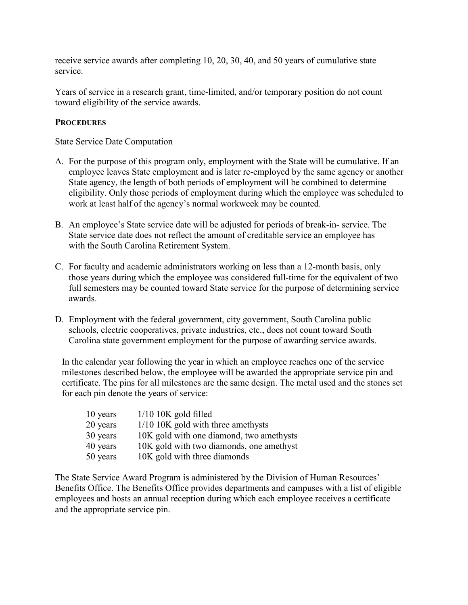receive service awards after completing 10, 20, 30, 40, and 50 years of cumulative state service.

Years of service in a research grant, time-limited, and/or temporary position do not count toward eligibility of the service awards.

### **PROCEDURES**

State Service Date Computation

- A. For the purpose of this program only, employment with the State will be cumulative. If an employee leaves State employment and is later re-employed by the same agency or another State agency, the length of both periods of employment will be combined to determine eligibility. Only those periods of employment during which the employee was scheduled to work at least half of the agency's normal workweek may be counted.
- B. An employee's State service date will be adjusted for periods of break-in- service. The State service date does not reflect the amount of creditable service an employee has with the South Carolina Retirement System.
- C. For faculty and academic administrators working on less than a 12-month basis, only those years during which the employee was considered full-time for the equivalent of two full semesters may be counted toward State service for the purpose of determining service awards.
- D. Employment with the federal government, city government, South Carolina public schools, electric cooperatives, private industries, etc., does not count toward South Carolina state government employment for the purpose of awarding service awards.

In the calendar year following the year in which an employee reaches one of the service milestones described below, the employee will be awarded the appropriate service pin and certificate. The pins for all milestones are the same design. The metal used and the stones set for each pin denote the years of service:

| 10 years | $1/10$ 10K gold filled                   |
|----------|------------------------------------------|
| 20 years | 1/10 10K gold with three amethysts       |
| 30 years | 10K gold with one diamond, two amethysts |
| 40 years | 10K gold with two diamonds, one amethyst |
| 50 years | 10K gold with three diamonds             |

The State Service Award Program is administered by the Division of Human Resources' Benefits Office. The Benefits Office provides departments and campuses with a list of eligible employees and hosts an annual reception during which each employee receives a certificate and the appropriate service pin.